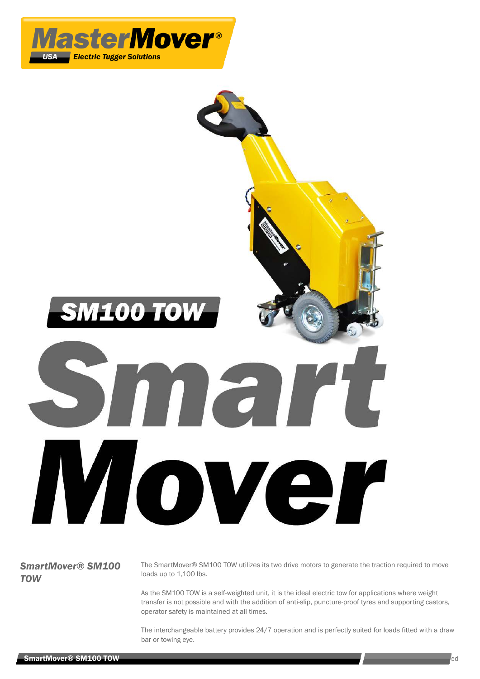



## *SmartMover® SM100 TOW*

The SmartMover® SM100 TOW utilizes its two drive motors to generate the traction required to move loads up to 1,100 lbs.

As the SM100 TOW is a self-weighted unit, it is the ideal electric tow for applications where weight transfer is not possible and with the addition of anti-slip, puncture-proof tyres and supporting castors, operator safety is maintained at all times.

The interchangeable battery provides 24/7 operation and is perfectly suited for loads fitted with a draw bar or towing eye.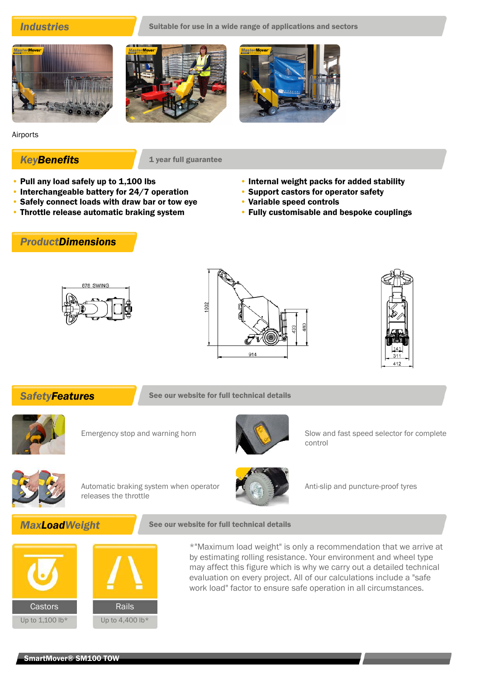**Industries** Suitable for use in a wide range of applications and sectors







Airports

**KeyBenefits** 1 year full guarantee

- Pull any load safely up to 1,100 lbs
- Interchangeable battery for 24/7 operation
- Safely connect loads with draw bar or tow eye
- Throttle release automatic braking system

# *ProductDimensions*

- Internal weight packs for added stability
- Support castors for operator safety
- Variable speed controls
- Fully customisable and bespoke couplings







**SafetyFeatures** See our website for full technical details





Emergency stop and warning horn Slow and fast speed selector for complete control



Automatic braking system when operator releases the throttle



Anti-slip and puncture-proof tyres

## **MaxLoadWeight** See our website for full technical details



\*"Maximum load weight" is only a recommendation that we arrive at by estimating rolling resistance. Your environment and wheel type may affect this figure which is why we carry out a detailed technical evaluation on every project. All of our calculations include a "safe work load" factor to ensure safe operation in all circumstances.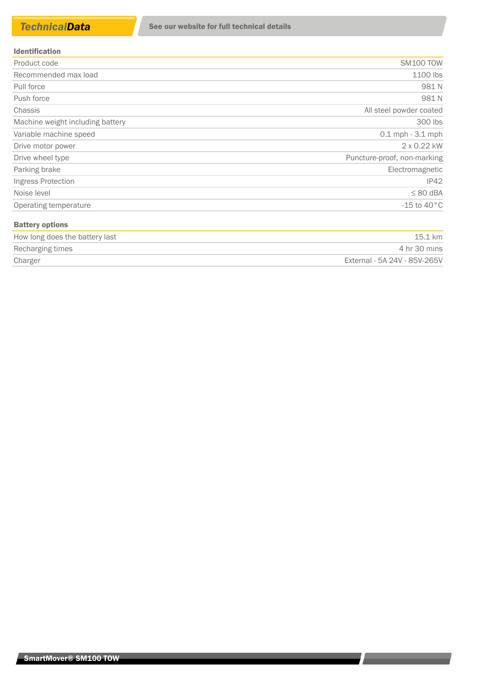| <b>Identification</b> |  |
|-----------------------|--|
|                       |  |

| Product code                     | <b>SM100 TOW</b>            |
|----------------------------------|-----------------------------|
| Recommended max load             | 1100 lbs                    |
| Pull force                       | 981N                        |
| Push force                       | 981N                        |
| <b>Chassis</b>                   | All steel powder coated     |
| Machine weight including battery | 300 lbs                     |
| Variable machine speed           | $0.1$ mph $-3.1$ mph        |
| Drive motor power                | 2 x 0.22 kW                 |
| Drive wheel type                 | Puncture-proof, non-marking |
| Parking brake                    | Electromagnetic             |
| Ingress Protection               | IP42                        |
| Noise level                      | $\leq 80$ dBA               |
| Operating temperature            | -15 to 40 $^{\circ}$ C      |
| <b>Battery options</b>           |                             |
|                                  |                             |

| How long does the battery last | 15.1 km                      |
|--------------------------------|------------------------------|
| Recharging times               | 4 hr 30 mins                 |
| Charger                        | External - 5A 24V - 85V-265V |

<u> La Barbara de la Barbara de la Barbara de la Barbara de la Barbara de la Barbara de la Barbara de la Barbara de la Barbara de la Barbara de la Barbara de la Barbara de la Barbara de la Barbara de la Barbara de la Barbara</u>